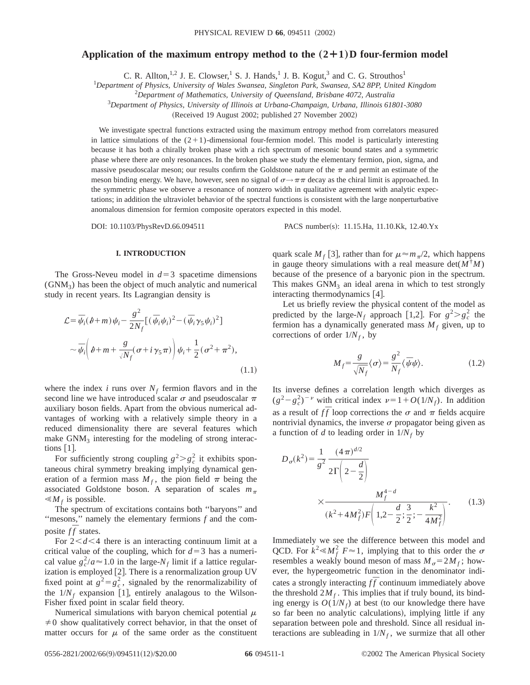# **Application of the maximum entropy method to the**  $(2+1)$  **D four-fermion model**

C. R. Allton,<sup>1,2</sup> J. E. Clowser,<sup>1</sup> S. J. Hands,<sup>1</sup> J. B. Kogut,<sup>3</sup> and C. G. Strouthos<sup>1</sup>

1 *Department of Physics, University of Wales Swansea, Singleton Park, Swansea, SA2 8PP, United Kingdom*

2 *Department of Mathematics, University of Queensland, Brisbane 4072, Australia*

3 *Department of Physics, University of Illinois at Urbana-Champaign, Urbana, Illinois 61801-3080*

(Received 19 August 2002; published 27 November 2002)

We investigate spectral functions extracted using the maximum entropy method from correlators measured in lattice simulations of the  $(2+1)$ -dimensional four-fermion model. This model is particularly interesting because it has both a chirally broken phase with a rich spectrum of mesonic bound states and a symmetric phase where there are only resonances. In the broken phase we study the elementary fermion, pion, sigma, and massive pseudoscalar meson; our results confirm the Goldstone nature of the  $\pi$  and permit an estimate of the meson binding energy. We have, however, seen no signal of  $\sigma \rightarrow \pi \pi$  decay as the chiral limit is approached. In the symmetric phase we observe a resonance of nonzero width in qualitative agreement with analytic expectations; in addition the ultraviolet behavior of the spectral functions is consistent with the large nonperturbative anomalous dimension for fermion composite operators expected in this model.

DOI: 10.1103/PhysRevD.66.094511 PACS number(s): 11.15.Ha, 11.10.Kk, 12.40.Yx

**I. INTRODUCTION**

The Gross-Neveu model in  $d=3$  spacetime dimensions  $(GNM<sub>3</sub>)$  has been the object of much analytic and numerical study in recent years. Its Lagrangian density is

$$
\mathcal{L} = \overline{\psi}_i(\theta + m)\psi_i - \frac{g^2}{2N_f} [(\overline{\psi}_i \psi_i)^2 - (\overline{\psi}_i \gamma_5 \psi_i)^2]
$$
  

$$
\sim \overline{\psi}_i \left(\theta + m + \frac{g}{\sqrt{N_f}} (\sigma + i \gamma_5 \pi)\right) \psi_i + \frac{1}{2} (\sigma^2 + \pi^2),
$$
 (1.1)

where the index *i* runs over  $N_f$  fermion flavors and in the second line we have introduced scalar  $\sigma$  and pseudoscalar  $\pi$ auxiliary boson fields. Apart from the obvious numerical advantages of working with a relatively simple theory in a reduced dimensionality there are several features which make  $GNM<sub>3</sub>$  interesting for the modeling of strong interactions  $|1|$ .

For sufficiently strong coupling  $g^2 > g_c^2$  it exhibits spontaneous chiral symmetry breaking implying dynamical generation of a fermion mass  $M_f$ , the pion field  $\pi$  being the associated Goldstone boson. A separation of scales  $m_\pi$  $\ll M_f$  is possible.

The spectrum of excitations contains both ''baryons'' and ''mesons,'' namely the elementary fermions *f* and the composite *ff* states.

For  $2 < d < 4$  there is an interacting continuum limit at a critical value of the coupling, which for  $d=3$  has a numerical value  $g_c^2/a \approx 1.0$  in the large- $N_f$  limit if a lattice regularization is employed  $[2]$ . There is a renormalization group UV fixed point at  $g^2 = g_c^2$ , signaled by the renormalizability of the  $1/N_f$  expansion [1], entirely analagous to the Wilson-Fisher fixed point in scalar field theory.

Numerical simulations with baryon chemical potential  $\mu$  $\neq 0$  show qualitatively correct behavior, in that the onset of matter occurs for  $\mu$  of the same order as the constituent

quark scale  $M_f$  [3], rather than for  $\mu \approx m_\pi/2$ , which happens in gauge theory simulations with a real measure  $det(M^{\dagger}M)$ because of the presence of a baryonic pion in the spectrum. This makes  $GNM_3$  an ideal arena in which to test strongly interacting thermodynamics  $[4]$ .

Let us briefly review the physical content of the model as predicted by the large- $N_f$  approach [1,2]. For  $g^2 > g_c^2$  the fermion has a dynamically generated mass  $M_f$  given, up to corrections of order  $1/N_f$ , by

$$
M_f = \frac{g}{\sqrt{N_f}} \langle \sigma \rangle = \frac{g^2}{N_f} \langle \bar{\psi} \psi \rangle.
$$
 (1.2)

Its inverse defines a correlation length which diverges as  $(g^2 - g_c^2)^{-\nu}$  with critical index  $\nu = 1 + O(1/N_f)$ . In addition as a result of  $f\bar{f}$  loop corrections the  $\sigma$  and  $\pi$  fields acquire nontrivial dynamics, the inverse  $\sigma$  propagator being given as a function of *d* to leading order in  $1/N_f$  by

$$
D_{\sigma}(k^2) = \frac{1}{g^2} \frac{(4\pi)^{d/2}}{2\Gamma\left(2-\frac{d}{2}\right)}
$$
  
 
$$
\times \frac{M_f^{4-d}}{(k^2 + 4M_f^2)F\left(1, 2-\frac{d}{2}; \frac{3}{2}; -\frac{k^2}{4M_f^2}\right)}.
$$
 (1.3)

Immediately we see the difference between this model and QCD. For  $k^2 \ll M_f^2$   $F \approx 1$ , implying that to this order the  $\sigma$ resembles a weakly bound meson of mass  $M_\sigma = 2M_f$ ; however, the hypergeometric function in the denominator indicates a strongly interacting  $f\bar{f}$  continuum immediately above the threshold  $2M_f$ . This implies that if truly bound, its binding energy is  $O(1/N_f)$  at best (to our knowledge there have so far been no analytic calculations), implying little if any separation between pole and threshold. Since all residual interactions are subleading in  $1/N_f$ , we surmize that all other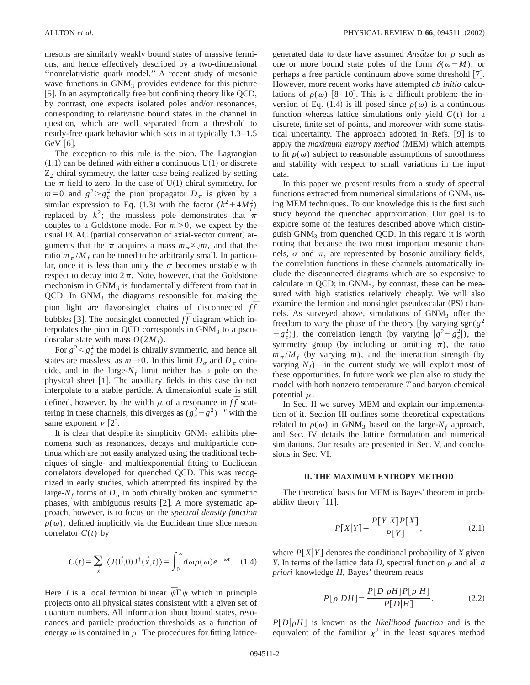mesons are similarly weakly bound states of massive fermions, and hence effectively described by a two-dimensional ''nonrelativistic quark model.'' A recent study of mesonic wave functions in  $GNM_3$  provides evidence for this picture [5]. In an asymptotically free but confining theory like QCD, by contrast, one expects isolated poles and/or resonances, corresponding to relativistic bound states in the channel in question, which are well separated from a threshold to nearly-free quark behavior which sets in at typically 1.3–1.5 GeV  $\vert 6 \vert$ .

The exception to this rule is the pion. The Lagrangian  $(1.1)$  can be defined with either a continuous  $U(1)$  or discrete  $Z_2$  chiral symmetry, the latter case being realized by setting the  $\pi$  field to zero. In the case of U(1) chiral symmetry, for  $m=0$  and  $g^2 > g_c^2$  the pion propagator  $D_\pi$  is given by a similar expression to Eq. (1.3) with the factor  $(k^2 + 4M_f^2)$ replaced by  $k^2$ ; the massless pole demonstrates that  $\pi$ couples to a Goldstone mode. For  $m > 0$ , we expect by the usual PCAC (partial conservation of axial-vector current) arguments that the  $\pi$  acquires a mass  $m_{\pi} \propto \sqrt{m}$ , and that the ratio  $m_\pi / M_f$  can be tuned to be arbitrarily small. In particular, once it is less than unity the  $\sigma$  becomes unstable with respect to decay into  $2\pi$ . Note, however, that the Goldstone mechanism in  $GNM_3$  is fundamentally different from that in  $QCD$ . In  $GNM<sub>3</sub>$  the diagrams responsible for making the pion light are flavor-singlet chains of disconnected  $f\bar{f}$ bubbles [3]. The nonsinglet connected  $f\bar{f}$  diagram which interpolates the pion in QCD corresponds in  $GNM<sub>3</sub>$  to a pseudoscalar state with mass  $O(2M_f)$ .

For  $g^2 < g_c^2$  the model is chirally symmetric, and hence all states are massless, as  $m \rightarrow 0$ . In this limit  $D_{\sigma}$  and  $D_{\pi}$  coincide, and in the large- $N_f$  limit neither has a pole on the physical sheet  $[1]$ . The auxiliary fields in this case do not interpolate to a stable particle. A dimensionful scale is still defined, however, by the width  $\mu$  of a resonance in  $f\bar{f}$  scattering in these channels; this diverges as  $(g_c^2 - g^2)^{-\nu}$  with the same exponent  $\nu$  [2].

It is clear that despite its simplicity  $GNM<sub>3</sub>$  exhibits phenomena such as resonances, decays and multiparticle continua which are not easily analyzed using the traditional techniques of single- and multiexponential fitting to Euclidean correlators developed for quenched QCD. This was recognized in early studies, which attempted fits inspired by the large- $N_f$  forms of  $D_\sigma$  in both chirally broken and symmetric phases, with ambiguous results  $[2]$ . A more systematic approach, however, is to focus on the *spectral density function*  $\rho(\omega)$ , defined implicitly via the Euclidean time slice meson correlator  $C(t)$  by

$$
C(t) = \sum_{\vec{x}} \langle J(\vec{0},0)J^{\dagger}(\vec{x},t) \rangle = \int_0^{\infty} d\omega \rho(\omega) e^{-\omega t}.
$$
 (1.4)

Here *J* is a local fermion bilinear  $\bar{\psi} \Gamma \psi$  which in principle projects onto all physical states consistent with a given set of quantum numbers. All information about bound states, resonances and particle production thresholds as a function of energy  $\omega$  is contained in  $\rho$ . The procedures for fitting latticegenerated data to date have assumed *Ansatze* for  $\rho$  such as one or more bound state poles of the form  $\delta(\omega - M)$ , or perhaps a free particle continuum above some threshold  $|7|$ . However, more recent works have attempted *ab initio* calculations of  $\rho(\omega)$  [8–10]. This is a difficult problem: the inversion of Eq. (1.4) is ill posed since  $\rho(\omega)$  is a continuous function whereas lattice simulations only yield  $C(t)$  for a discrete, finite set of points, and moreover with some statistical uncertainty. The approach adopted in Refs.  $[9]$  is to apply the *maximum entropy method* (MEM) which attempts to fit  $\rho(\omega)$  subject to reasonable assumptions of smoothness and stability with respect to small variations in the input data.

In this paper we present results from a study of spectral functions extracted from numerical simulations of  $GNM_3$  using MEM techniques. To our knowledge this is the first such study beyond the quenched approximation. Our goal is to explore some of the features described above which distinguish  $GNM_3$  from quenched QCD. In this regard it is worth noting that because the two most important mesonic channels,  $\sigma$  and  $\pi$ , are represented by bosonic auxiliary fields, the correlation functions in these channels automatically include the disconnected diagrams which are so expensive to calculate in QCD; in  $GNM_3$ , by contrast, these can be measured with high statistics relatively cheaply. We will also examine the fermion and nonsinglet pseudoscalar (PS) channels. As surveyed above, simulations of GNM<sub>3</sub> offer the freedom to vary the phase of the theory [by varying sgn( $g^2$  $-g_c^2$ )], the correlation length (by varying  $|g^2 - g_c^2|$ ), the symmetry group (by including or omitting  $\pi$ ), the ratio  $m_\pi / M_f$  (by varying *m*), and the interaction strength (by varying  $N_f$ —in the current study we will exploit most of these opportunities. In future work we plan also to study the model with both nonzero temperature *T* and baryon chemical potential  $\mu$ .

In Sec. II we survey MEM and explain our implementation of it. Section III outlines some theoretical expectations related to  $\rho(\omega)$  in GNM<sub>3</sub> based on the large- $N_f$  approach, and Sec. IV details the lattice formulation and numerical simulations. Our results are presented in Sec. V, and conclusions in Sec. VI.

#### **II. THE MAXIMUM ENTROPY METHOD**

The theoretical basis for MEM is Bayes' theorem in probability theory  $\lfloor 11 \rfloor$ :

$$
P[X|Y] = \frac{P[Y|X]P[X]}{P[Y]},\tag{2.1}
$$

where  $P[X|Y]$  denotes the conditional probability of *X* given *Y*. In terms of the lattice data *D*, spectral function  $\rho$  and all  $\alpha$ *priori* knowledge *H*, Bayes' theorem reads

$$
P[\rho|DH] = \frac{P[D|\rho H]P[\rho|H]}{P[D|H]}.\tag{2.2}
$$

 $P[D|\rho H]$  is known as the *likelihood function* and is the equivalent of the familiar  $\chi^2$  in the least squares method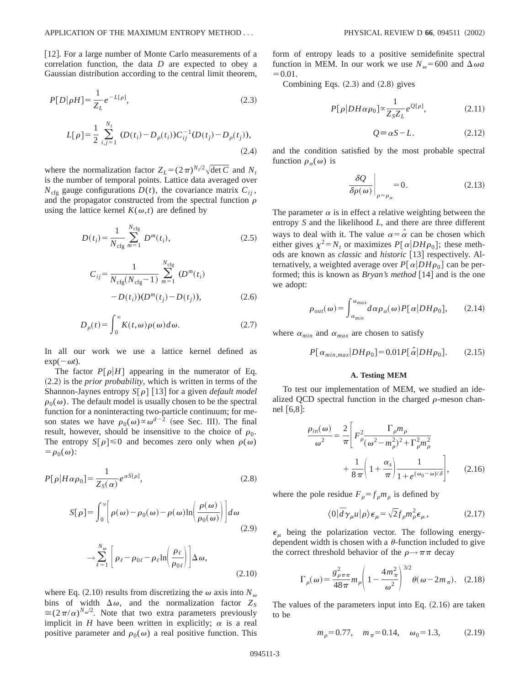[12]. For a large number of Monte Carlo measurements of a correlation function, the data *D* are expected to obey a Gaussian distribution according to the central limit theorem,

$$
P[D|\rho H] = \frac{1}{Z_L} e^{-L[\rho]},
$$
\n(2.3)

$$
L[\rho] = \frac{1}{2} \sum_{i,j=1}^{N_t} (D(t_i) - D_{\rho}(t_i)) C_{ij}^{-1} (D(t_j) - D_{\rho}(t_j)),
$$
\n(2.4)

where the normalization factor  $Z_L = (2\pi)^{N_t/2}\sqrt{\det C}$  and  $N_t$ is the number of temporal points. Lattice data averaged over  $N_{\text{cfg}}$  gauge configurations  $D(t)$ , the covariance matrix  $C_{ij}$ , and the propagator constructed from the spectral function  $\rho$ using the lattice kernel  $K(\omega, t)$  are defined by

$$
D(t_i) = \frac{1}{N_{\text{cfg}}} \sum_{m=1}^{N_{\text{cfg}}} D^m(t_i),
$$
 (2.5)

$$
C_{ij} = \frac{1}{N_{\text{cfg}}(N_{\text{cfg}} - 1)} \sum_{m=1}^{N_{\text{cfg}}} (D^m(t_i) - D(t_i))(D^m(t_j) - D(t_j)),
$$
\n(2.6)

$$
D_{\rho}(t) = \int_0^{\infty} K(t, \omega) \rho(\omega) d\omega.
$$
 (2.7)

In all our work we use a lattice kernel defined as  $exp(-\omega t)$ .

The factor  $P[\rho|H]$  appearing in the numerator of Eq.  $(2.2)$  is the *prior probability*, which is written in terms of the Shannon-Jaynes entropy  $S[\rho]$  [13] for a given *default model*  $\rho_0(\omega)$ . The default model is usually chosen to be the spectral function for a noninteracting two-particle continuum; for meson states we have  $\rho_0(\omega) \propto \omega^{d-2}$  (see Sec. III). The final result, however, should be insensitive to the choice of  $\rho_0$ . The entropy  $S[\rho] \le 0$  and becomes zero only when  $\rho(\omega)$  $= \rho_0(\omega)$ :

$$
P[\rho|H\alpha\rho_0] = \frac{1}{Z_S(\alpha)} e^{\alpha S[\rho]},\tag{2.8}
$$

$$
S[\rho] = \int_0^\infty \left[ \rho(\omega) - \rho_0(\omega) - \rho(\omega) \ln \left( \frac{\rho(\omega)}{\rho_0(\omega)} \right) \right] d\omega
$$
\n(2.9)

$$
\rightarrow \sum_{\ell=1}^{N_{\omega}} \left[ \rho_{\ell} - \rho_{0\ell} - \rho_{\ell} \ln \left( \frac{\rho_{\ell}}{\rho_{0\ell}} \right) \right] \Delta \omega, \tag{2.10}
$$

where Eq.  $(2.10)$  results from discretizing the  $\omega$  axis into  $N_{\omega}$ bins of width  $\Delta \omega$ , and the normalization factor  $Z_s$  $\approx$ (2 $\pi/\alpha$ )<sup>*N*w/2</sup>. Note that two extra parameters previously implicit in *H* have been written in explicitly;  $\alpha$  is a real positive parameter and  $\rho_0(\omega)$  a real positive function. This form of entropy leads to a positive semidefinite spectral function in MEM. In our work we use  $N_{\omega}$ =600 and  $\Delta \omega a$  $=0.01.$ 

Combining Eqs.  $(2.3)$  and  $(2.8)$  gives

$$
P[\rho|DH\alpha\rho_0] \propto \frac{1}{Z_S Z_L} e^{Q[\rho]},\tag{2.11}
$$

$$
Q \equiv \alpha S - L. \tag{2.12}
$$

and the condition satisfied by the most probable spectral function  $\rho_{\alpha}(\omega)$  is

$$
\left. \frac{\delta \mathcal{Q}}{\delta \rho(\omega)} \right|_{\rho = \rho_{\alpha}} = 0. \tag{2.13}
$$

The parameter  $\alpha$  is in effect a relative weighting between the entropy *S* and the likelihood *L*, and there are three different ways to deal with it. The value  $\alpha = \hat{\alpha}$  can be chosen which either gives  $\chi^2 = N_t$  or maximizes  $P[\alpha|DH\rho_0]$ ; these methods are known as *classic* and *historic* [13] respectively. Alternatively, a weighted average over  $P[\alpha|DH\rho_0]$  can be performed; this is known as *Bryan's method* [14] and is the one we adopt:

$$
\rho_{out}(\omega) = \int_{\alpha_{min}}^{\alpha_{max}} d\alpha \rho_{\alpha}(\omega) P[\alpha|DH\rho_0], \qquad (2.14)
$$

where  $\alpha_{min}$  and  $\alpha_{max}$  are chosen to satisfy

$$
P[\alpha_{min,max}|DH\rho_0] = 0.01 P[\hat{\alpha}|DH\rho_0]. \qquad (2.15)
$$

#### **A. Testing MEM**

To test our implementation of MEM, we studied an idealized QCD spectral function in the charged  $\rho$ -meson channel  $[6,8]$ :

$$
\frac{\rho_{in}(\omega)}{\omega^2} = \frac{2}{\pi} \left[ F_{\rho}^2 \frac{\Gamma_{\rho} m_{\rho}}{(\omega^2 - m_{\rho}^2)^2 + \Gamma_{\rho}^2 m_{\rho}^2} + \frac{1}{8\pi} \left( 1 + \frac{\alpha_s}{\pi} \right) \frac{1}{1 + e^{(\omega_0 - \omega)/\delta}} \right],
$$
 (2.16)

where the pole residue  $F_{\rho} = f_{\rho} m_{\rho}$  is defined by

$$
\langle 0|\bar{d}\gamma_{\mu}u|\rho\rangle\epsilon_{\mu}=\sqrt{2}f_{\rho}m_{\rho}^{2}\epsilon_{\mu},\qquad(2.17)
$$

 $\epsilon_{\mu}$  being the polarization vector. The following energydependent width is chosen with a  $\theta$ -function included to give the correct threshold behavior of the  $\rho \rightarrow \pi \pi$  decay

$$
\Gamma_{\rho}(\omega) = \frac{g_{\rho\pi\pi}^2}{48\pi} m_{\rho} \left( 1 - \frac{4m_{\pi}^2}{\omega^2} \right)^{3/2} \theta(\omega - 2m_{\pi}). \quad (2.18)
$$

The values of the parameters input into Eq.  $(2.16)$  are taken to be

$$
m_{\rho} = 0.77
$$
,  $m_{\pi} = 0.14$ ,  $\omega_0 = 1.3$ , (2.19)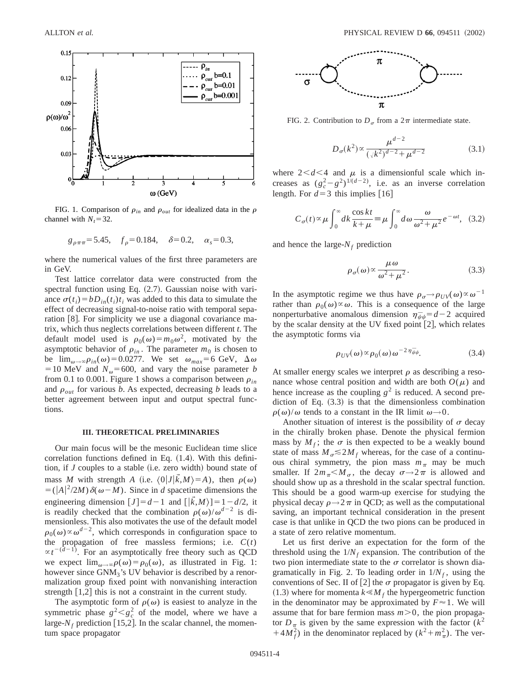

FIG. 1. Comparison of  $\rho_{in}$  and  $\rho_{out}$  for idealized data in the  $\rho$ channel with  $N_t = 32$ .

$$
g_{\rho\pi\pi}
$$
= 5.45,  $f_{\rho}$ = 0.184,  $\delta$ = 0.2,  $\alpha_s$ = 0.3,

where the numerical values of the first three parameters are in GeV.

Test lattice correlator data were constructed from the spectral function using Eq.  $(2.7)$ . Gaussian noise with variance  $\sigma(t_i) = bD_{in}(t_i)t_i$  was added to this data to simulate the effect of decreasing signal-to-noise ratio with temporal separation [8]. For simplicity we use a diagonal covariance matrix, which thus neglects correlations between different *t*. The default model used is  $\rho_0(\omega) = m_0\omega^2$ , motivated by the asymptotic behavior of  $\rho_{in}$ . The parameter  $m_0$  is chosen to be  $\lim_{\omega \to \infty} \rho_{in}(\omega) = 0.0277$ . We set  $\omega_{max} = 6$  GeV,  $\Delta \omega$  $=10$  MeV and  $N_{\omega} = 600$ , and vary the noise parameter *b* from 0.1 to 0.001. Figure 1 shows a comparison between  $\rho_{in}$ and  $\rho_{out}$  for various *b*. As expected, decreasing *b* leads to a better agreement between input and output spectral functions.

### **III. THEORETICAL PRELIMINARIES**

Our main focus will be the mesonic Euclidean time slice correlation functions defined in Eq.  $(1.4)$ . With this definition, if  $J$  couples to a stable (i.e. zero width) bound state of mass *M* with strength *A* (i.e.  $\langle 0|J|\vec{k},M\rangle = A$ ), then  $\rho(\omega)$  $=(|A|^2/2M)\delta(\omega-M)$ . Since in *d* spacetime dimensions the engineering dimension  $[J]=d-1$  and  $[\bar{k},M$ } $]=1-d/2$ , it is readily checked that the combination  $\rho(\omega)/\omega^{d-2}$  is dimensionless. This also motivates the use of the default model  $\rho_0(\omega) \propto \omega^{d-2}$ , which corresponds in configuration space to the propagation of free massless fermions; i.e.  $C(t)$  $\propto t^{-(d-1)}$ . For an asymptotically free theory such as QCD we expect  $\lim_{\omega\to\infty}\rho(\omega)=\rho_0(\omega)$ , as illustrated in Fig. 1: however since GNM<sub>3</sub>'s UV behavior is described by a renormalization group fixed point with nonvanishing interaction strength  $[1,2]$  this is not a constraint in the current study.

The asymptotic form of  $\rho(\omega)$  is easiest to analyze in the symmetric phase  $g^2 < g_c^2$  of the model, where we have a large- $N_f$  prediction [15,2]. In the scalar channel, the momentum space propagator



FIG. 2. Contribution to  $D_{\sigma}$  from a  $2\pi$  intermediate state.

$$
D_{\sigma}(k^2) \propto \frac{\mu^{d-2}}{(\sqrt{k^2})^{d-2} + \mu^{d-2}} \tag{3.1}
$$

where  $2 < d < 4$  and  $\mu$  is a dimensionful scale which increases as  $(g_c^2 - g^2)^{1/(d-2)}$ , i.e. as an inverse correlation length. For  $d=3$  this implies [16]

$$
C_{\sigma}(t) \propto \mu \int_0^{\infty} dk \frac{\cos kt}{k + \mu} \equiv \mu \int_0^{\infty} d\omega \frac{\omega}{\omega^2 + \mu^2} e^{-\omega t}, \quad (3.2)
$$

and hence the large- $N_f$  prediction

$$
\rho_{\sigma}(\omega) \propto \frac{\mu \omega}{\omega^2 + \mu^2}.
$$
\n(3.3)

In the asymptotic regime we thus have  $\rho_{\sigma} \rightarrow \rho_{UV}(\omega) \propto \omega^{-1}$ rather than  $\rho_0(\omega) \propto \omega$ . This is a consequence of the large nonperturbative anomalous dimension  $\eta_{\bar{\psi}\psi} = d - 2$  acquired by the scalar density at the UV fixed point  $\lceil 2 \rceil$ , which relates the asymptotic forms via

$$
\rho_{UV}(\omega) \propto \rho_0(\omega) \omega^{-2 \eta_{\psi\psi}}.
$$
\n(3.4)

At smaller energy scales we interpret  $\rho$  as describing a resonance whose central position and width are both  $O(\mu)$  and hence increase as the coupling  $g^2$  is reduced. A second prediction of Eq.  $(3.3)$  is that the dimensionless combination  $\rho(\omega)/\omega$  tends to a constant in the IR limit  $\omega \rightarrow 0$ .

Another situation of interest is the possibility of  $\sigma$  decay in the chirally broken phase. Denote the physical fermion mass by  $M_f$ ; the  $\sigma$  is then expected to be a weakly bound state of mass  $M_\sigma \leq 2M_f$  whereas, for the case of a continuous chiral symmetry, the pion mass  $m<sub>\pi</sub>$  may be much smaller. If  $2m_\pi < M_\sigma$ , the decay  $\sigma \rightarrow 2\pi$  is allowed and should show up as a threshold in the scalar spectral function. This should be a good warm-up exercise for studying the physical decay  $\rho \rightarrow 2\pi$  in QCD; as well as the computational saving, an important technical consideration in the present case is that unlike in QCD the two pions can be produced in a state of zero relative momentum.

Let us first derive an expectation for the form of the threshold using the  $1/N_f$  expansion. The contribution of the two pion intermediate state to the  $\sigma$  correlator is shown diagramatically in Fig. 2. To leading order in  $1/N_f$ , using the conventions of Sec. II of [2] the  $\sigma$  propagator is given by Eq.  $(1.3)$  where for momenta  $k \le M_f$  the hypergeometric function in the denominator may be approximated by  $F \approx 1$ . We will assume that for bare fermion mass  $m > 0$ , the pion propagator  $D_{\pi}$  is given by the same expression with the factor ( $k^2$ )  $(1+4M_f^2)$  in the denominator replaced by  $(k^2+m_\pi^2)$ . The ver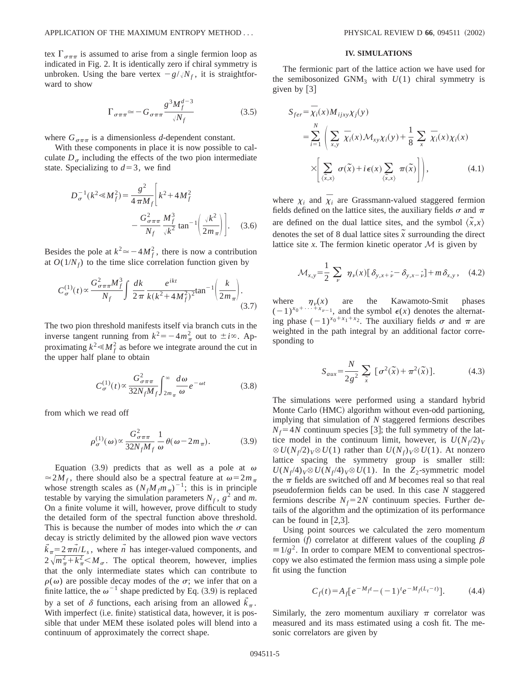tex  $\Gamma_{\sigma\pi\pi}$  is assumed to arise from a single fermion loop as indicated in Fig. 2. It is identically zero if chiral symmetry is unbroken. Using the bare vertex  $-g/\sqrt{N_f}$ , it is straightforward to show

$$
\Gamma_{\sigma\pi\pi} \simeq -G_{\sigma\pi\pi} \frac{g^3 M_f^{d-3}}{\sqrt{N_f}}\tag{3.5}
$$

where  $G_{\sigma\pi\pi}$  is a dimensionless *d*-dependent constant.

With these components in place it is now possible to calculate  $D_{\sigma}$  including the effects of the two pion intermediate state. Specializing to  $d=3$ , we find

$$
D_{\sigma}^{-1}(k^2 \ll M_f^2) = \frac{g^2}{4 \pi M_f} \left[ k^2 + 4M_f^2 - \frac{G_{\sigma \pi \pi}^2}{N_f} \frac{M_f^3}{\sqrt{k^2}} \tan^{-1} \left( \frac{\sqrt{k^2}}{2m_\pi} \right) \right].
$$
 (3.6)

Besides the pole at  $k^2 \approx -4M_f^2$ , there is now a contribution at  $O(1/N_f)$  to the time slice correlation function given by

$$
C_{\sigma}^{(1)}(t) \propto \frac{G_{\sigma\pi\pi}^2 M_f^3}{N_f} \int \frac{dk}{2\pi} \frac{e^{ikt}}{k(k^2 + 4M_f^2)^2} \tan^{-1} \left(\frac{k}{2m_\pi}\right). \tag{3.7}
$$

The two pion threshold manifests itself via branch cuts in the inverse tangent running from  $k^2 = -4m_\pi^2$  out to  $\pm i\infty$ . Approximating  $k^2 \ll M_f^2$  as before we integrate around the cut in the upper half plane to obtain

$$
C_{\sigma}^{(1)}(t) \propto \frac{G_{\sigma\pi\pi}^2}{32N_fM_f} \int_{2m_{\pi}}^{\infty} \frac{d\omega}{\omega} e^{-\omega t}
$$
 (3.8)

from which we read off

$$
\rho_{\sigma}^{(1)}(\omega) \propto \frac{G_{\sigma\pi\pi}^2}{32N_fM_f} \frac{1}{\omega} \theta(\omega - 2m_\pi). \tag{3.9}
$$

Equation (3.9) predicts that as well as a pole at  $\omega$  $\approx 2M_f$ , there should also be a spectral feature at  $\omega = 2m_\pi$ whose strength scales as  $(N_f M_f m_\pi)^{-1}$ ; this is in principle testable by varying the simulation parameters  $N_f$ ,  $g^2$  and m. On a finite volume it will, however, prove difficult to study the detailed form of the spectral function above threshold. This is because the number of modes into which the  $\sigma$  can decay is strictly delimited by the allowed pion wave vectors  $\bar{k}_{\pi} = 2 \pi \bar{n}/L_s$ , where  $\bar{n}$  has integer-valued components, and  $2\sqrt[m]{m_{\pi}^2 + k_{\pi}^2}$  /*M*<sub> $\sigma$ </sub>. The optical theorem, however, implies that the only intermediate states which can contribute to  $\rho(\omega)$  are possible decay modes of the  $\sigma$ ; we infer that on a finite lattice, the  $\omega^{-1}$  shape predicted by Eq. (3.9) is replaced by a set of  $\delta$  functions, each arising from an allowed  $\tilde{k}_{\pi}$ . With imperfect (i.e. finite) statistical data, however, it is possible that under MEM these isolated poles will blend into a continuum of approximately the correct shape.

# **IV. SIMULATIONS**

The fermionic part of the lattice action we have used for the semibosonized GNM<sub>3</sub> with  $U(1)$  chiral symmetry is given by  $[3]$ 

$$
S_{fer} = \overline{\chi}_i(x) M_{ijxy} \chi_j(y)
$$
  
= 
$$
\sum_{i=1}^N \left( \sum_{x,y} \overline{\chi}_i(x) M_{xy} \chi_i(y) + \frac{1}{8} \sum_x \overline{\chi}_i(x) \chi_i(x) \right)
$$
  

$$
\times \left( \sum_{\langle \overline{x},x \rangle} \sigma(\overline{x}) + i\epsilon(x) \sum_{\langle \overline{x},x \rangle} \pi(\overline{x}) \right), \tag{4.1}
$$

where  $\chi_i$  and  $\overline{\chi}_i$  are Grassmann-valued staggered fermion fields defined on the lattice sites, the auxiliary fields  $\sigma$  and  $\pi$ are defined on the dual lattice sites, and the symbol  $\langle \tilde{x}, x \rangle$ denotes the set of 8 dual lattice sites  $\tilde{x}$  surrounding the direct lattice site  $x$ . The fermion kinetic operator  $\mathcal M$  is given by

$$
\mathcal{M}_{x,y} = \frac{1}{2} \sum_{\nu} \eta_{\nu}(x) [\delta_{y,x+\hat{\nu}} - \delta_{y,x-\hat{\nu}}] + m \delta_{x,y}, \quad (4.2)
$$

where  $\eta_v(x)$  are the Kawamoto-Smit phases  $(-1)^{x_0+\cdots+x_{\nu-1}}$ , and the symbol  $\epsilon(x)$  denotes the alternating phase  $(-1)^{x_0+x_1+x_2}$ . The auxiliary fields  $\sigma$  and  $\pi$  are weighted in the path integral by an additional factor corresponding to

$$
S_{aux} = \frac{N}{2g^2} \sum_{\tilde{x}} \left[ \sigma^2(\tilde{x}) + \pi^2(\tilde{x}) \right]. \tag{4.3}
$$

The simulations were performed using a standard hybrid Monte Carlo (HMC) algorithm without even-odd partioning, implying that simulation of *N* staggered fermions describes  $N_f$ =4*N* continuum species [3]; the full symmetry of the lattice model in the continuum limit, however, is  $U(N_f/2)_V$  $\otimes U(N_f/2)_V \otimes U(1)$  rather than  $U(N_f)_V \otimes U(1)$ . At nonzero lattice spacing the symmetry group is smaller still:  $U(N_f/4)_V \otimes U(N_f/4)_V \otimes U(1)$ . In the *Z*<sub>2</sub>-symmetric model the  $\pi$  fields are switched off and *M* becomes real so that real pseudofermion fields can be used. In this case *N* staggered fermions describe  $N_f = 2N$  continuum species. Further details of the algorithm and the optimization of its performance can be found in  $[2,3]$ .

Using point sources we calculated the zero momentum fermion  $(f)$  correlator at different values of the coupling  $\beta$  $\equiv 1/g^2$ . In order to compare MEM to conventional spectroscopy we also estimated the fermion mass using a simple pole fit using the function

$$
C_f(t) = A_f [e^{-M_f t} - (-1)^t e^{-M_f (L_t - t)}]. \tag{4.4}
$$

Similarly, the zero momentum auxiliary  $\pi$  correlator was measured and its mass estimated using a cosh fit. The mesonic correlators are given by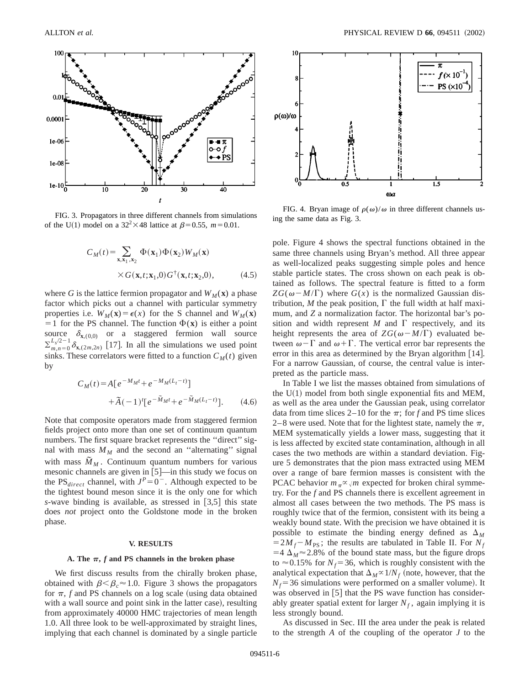

FIG. 3. Propagators in three different channels from simulations of the U(1) model on a  $32^2 \times 48$  lattice at  $\beta = 0.55$ ,  $m = 0.01$ .

$$
C_M(t) = \sum_{\mathbf{x}, \mathbf{x}_1, \mathbf{x}_2} \Phi(\mathbf{x}_1) \Phi(\mathbf{x}_2) W_M(\mathbf{x})
$$
  
× $G(\mathbf{x}, t; \mathbf{x}_1, 0) G^{\dagger}(\mathbf{x}, t; \mathbf{x}_2, 0),$  (4.5)

where *G* is the lattice fermion propagator and  $W_M(\mathbf{x})$  a phase factor which picks out a channel with particular symmetry properties i.e.  $W_M(\mathbf{x}) = \epsilon(x)$  for the S channel and  $W_M(\mathbf{x})$  $=1$  for the PS channel. The function  $\Phi(\mathbf{x})$  is either a point source  $\delta_{\mathbf{x},(0,0)}$  or a staggered fermion wall source  $\sum_{m,n=0}^{L_s/2-1} \delta_{\mathbf{x},(2m,2n)}$  [17]. In all the simulations we used point sinks. These correlators were fitted to a function  $C_M(t)$  given by

$$
C_M(t) = A \left[ e^{-M_M t} + e^{-M_M (L_t - t)} \right]
$$
  
+  $\tilde{A}(-1)^t \left[ e^{-\tilde{M}_M t} + e^{-\tilde{M}_M (L_t - t)} \right].$  (4.6)

Note that composite operators made from staggered fermion fields project onto more than one set of continuum quantum numbers. The first square bracket represents the ''direct'' signal with mass  $M_M$  and the second an "alternating" signal with mass  $\tilde{M}_M$ . Continuum quantum numbers for various mesonic channels are given in  $[5]$ —in this study we focus on the PS<sub>direct</sub> channel, with  $J^P=0^-$ . Although expected to be the tightest bound meson since it is the only one for which *s*-wave binding is available, as stressed in  $\lceil 3.5 \rceil$  this state does *not* project onto the Goldstone mode in the broken phase.

## **V. RESULTS**

### A. The  $\pi$ , *f* and PS channels in the broken phase

We first discuss results from the chirally broken phase, obtained with  $\beta < \beta_c \approx 1.0$ . Figure 3 shows the propagators for  $\pi$ , *f* and PS channels on a log scale (using data obtained with a wall source and point sink in the latter case), resulting from approximately 40000 HMC trajectories of mean length 1.0. All three look to be well-approximated by straight lines, implying that each channel is dominated by a single particle



FIG. 4. Bryan image of  $\rho(\omega)/\omega$  in three different channels using the same data as Fig. 3.

pole. Figure 4 shows the spectral functions obtained in the same three channels using Bryan's method. All three appear as well-localized peaks suggesting simple poles and hence stable particle states. The cross shown on each peak is obtained as follows. The spectral feature is fitted to a form  $ZG(\omega - M/\Gamma)$  where  $G(x)$  is the normalized Gaussian distribution, *M* the peak position,  $\Gamma$  the full width at half maximum, and *Z* a normalization factor. The horizontal bar's position and width represent  $M$  and  $\Gamma$  respectively, and its height represents the area of  $ZG(\omega - M/\Gamma)$  evaluated between  $\omega-\Gamma$  and  $\omega+\Gamma$ . The vertical error bar represents the error in this area as determined by the Bryan algorithm  $[14]$ . For a narrow Gaussian, of course, the central value is interpreted as the particle mass.

In Table I we list the masses obtained from simulations of the  $U(1)$  model from both single exponential fits and MEM, as well as the area under the Gaussian peak, using correlator data from time slices 2–10 for the  $\pi$ ; for *f* and PS time slices 2–8 were used. Note that for the lightest state, namely the  $\pi$ , MEM systematically yields a lower mass, suggesting that it is less affected by excited state contamination, although in all cases the two methods are within a standard deviation. Figure 5 demonstrates that the pion mass extracted using MEM over a range of bare fermion masses is consistent with the PCAC behavior  $m_{\pi} \propto \sqrt{m}$  expected for broken chiral symmetry. For the *f* and PS channels there is excellent agreement in almost all cases between the two methods. The PS mass is roughly twice that of the fermion, consistent with its being a weakly bound state. With the precision we have obtained it is possible to estimate the binding energy defined as  $\Delta_M$  $=2M_f-M_{PS}$ ; the results are tabulated in Table II. For  $N_f$  $=4 \Delta_M \approx 2.8\%$  of the bound state mass, but the figure drops to  $\approx$  0.15% for *N<sub>f</sub>*=36, which is roughly consistent with the analytical expectation that  $\Delta_M \propto 1/N_f$  (note, however, that the  $N_f$ =36 simulations were performed on a smaller volume). It was observed in  $[5]$  that the PS wave function has considerably greater spatial extent for larger  $N_f$ , again implying it is less strongly bound.

As discussed in Sec. III the area under the peak is related to the strength *A* of the coupling of the operator *J* to the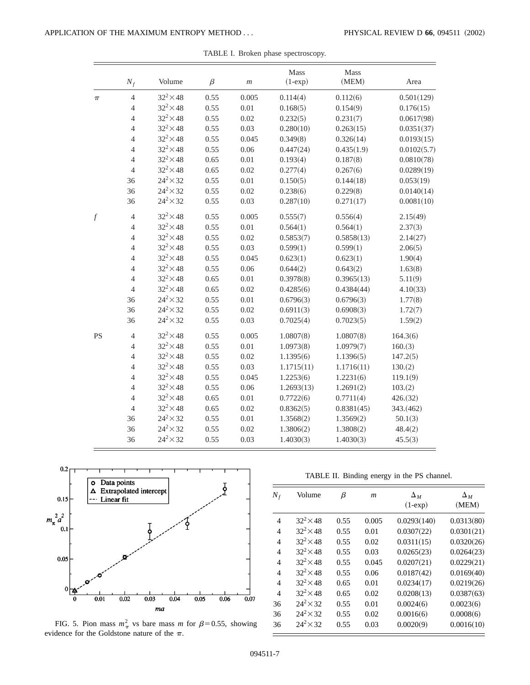|                  | $N_f$          | Volume           | $\beta$ | $\boldsymbol{m}$ | Mass<br>$(1-exp)$ | Mass<br>(MEM) | Area        |
|------------------|----------------|------------------|---------|------------------|-------------------|---------------|-------------|
| $\pi$            | $\overline{4}$ | $32^2 \times 48$ | 0.55    | 0.005            | 0.114(4)          | 0.112(6)      | 0.501(129)  |
|                  | $\overline{4}$ | $32^2 \times 48$ | 0.55    | 0.01             | 0.168(5)          | 0.154(9)      | 0.176(15)   |
|                  | $\overline{4}$ | $32^2 \times 48$ | 0.55    | 0.02             | 0.232(5)          | 0.231(7)      | 0.0617(98)  |
|                  | $\overline{4}$ | $32^2 \times 48$ | 0.55    | 0.03             | 0.280(10)         | 0.263(15)     | 0.0351(37)  |
|                  | $\overline{4}$ | $32^2 \times 48$ | 0.55    | 0.045            | 0.349(8)          | 0.326(14)     | 0.0193(15)  |
|                  | $\overline{4}$ | $32^2 \times 48$ | 0.55    | 0.06             | 0.447(24)         | 0.435(1.9)    | 0.0102(5.7) |
|                  | $\overline{4}$ | $32^2 \times 48$ | 0.65    | 0.01             | 0.193(4)          | 0.187(8)      | 0.0810(78)  |
|                  | $\overline{4}$ | $32^2 \times 48$ | 0.65    | 0.02             | 0.277(4)          | 0.267(6)      | 0.0289(19)  |
|                  | 36             | $24^2 \times 32$ | 0.55    | 0.01             | 0.150(5)          | 0.144(18)     | 0.053(19)   |
|                  | 36             | $24^2 \times 32$ | 0.55    | 0.02             | 0.238(6)          | 0.229(8)      | 0.0140(14)  |
|                  | 36             | $24^2 \times 32$ | 0.55    | 0.03             | 0.287(10)         | 0.271(17)     | 0.0081(10)  |
| $\boldsymbol{f}$ | $\overline{4}$ | $32^2 \times 48$ | 0.55    | 0.005            | 0.555(7)          | 0.556(4)      | 2.15(49)    |
|                  | $\overline{4}$ | $32^2 \times 48$ | 0.55    | 0.01             | 0.564(1)          | 0.564(1)      | 2.37(3)     |
|                  | $\overline{4}$ | $32^2 \times 48$ | 0.55    | 0.02             | 0.5853(7)         | 0.5858(13)    | 2.14(27)    |
|                  | $\overline{4}$ | $32^2 \times 48$ | 0.55    | 0.03             | 0.599(1)          | 0.599(1)      | 2.06(5)     |
|                  | $\overline{4}$ | $32^2 \times 48$ | 0.55    | 0.045            | 0.623(1)          | 0.623(1)      | 1.90(4)     |
|                  | $\overline{4}$ | $32^2 \times 48$ | 0.55    | 0.06             | 0.644(2)          | 0.643(2)      | 1.63(8)     |
|                  | $\overline{4}$ | $32^2 \times 48$ | 0.65    | 0.01             | 0.3978(8)         | 0.3965(13)    | 5.11(9)     |
|                  | $\overline{4}$ | $32^2 \times 48$ | 0.65    | 0.02             | 0.4285(6)         | 0.4384(44)    | 4.10(33)    |
|                  | 36             | $24^2 \times 32$ | 0.55    | 0.01             | 0.6796(3)         | 0.6796(3)     | 1.77(8)     |
|                  | 36             | $24^2 \times 32$ | 0.55    | 0.02             | 0.6911(3)         | 0.6908(3)     | 1.72(7)     |
|                  | 36             | $24^2 \times 32$ | 0.55    | 0.03             | 0.7025(4)         | 0.7023(5)     | 1.59(2)     |
| <b>PS</b>        | $\overline{4}$ | $32^2 \times 48$ | 0.55    | 0.005            | 1.0807(8)         | 1.0807(8)     | 164.3(6)    |
|                  | $\overline{4}$ | $32^2 \times 48$ | 0.55    | 0.01             | 1.0973(8)         | 1.0979(7)     | 160.(3)     |
|                  | $\overline{4}$ | $32^2 \times 48$ | 0.55    | 0.02             | 1.1395(6)         | 1.1396(5)     | 147.2(5)    |
|                  | $\overline{4}$ | $32^2 \times 48$ | 0.55    | 0.03             | 1.1715(11)        | 1.1716(11)    | 130(2)      |
|                  | $\overline{4}$ | $32^2 \times 48$ | 0.55    | 0.045            | 1.2253(6)         | 1.2231(6)     | 119.1(9)    |
|                  | $\overline{4}$ | $32^2 \times 48$ | 0.55    | 0.06             | 1.2693(13)        | 1.2691(2)     | 103.(2)     |
|                  | $\overline{4}$ | $32^2 \times 48$ | 0.65    | 0.01             | 0.7722(6)         | 0.7711(4)     | 426.(32)    |
|                  | $\overline{4}$ | $32^2 \times 48$ | 0.65    | 0.02             | 0.8362(5)         | 0.8381(45)    | 343.(462)   |
|                  | 36             | $24^2 \times 32$ | 0.55    | 0.01             | 1.3568(2)         | 1.3569(2)     | 50.1(3)     |
|                  | 36             | $24^2 \times 32$ | 0.55    | 0.02             | 1.3806(2)         | 1.3808(2)     | 48.4(2)     |
|                  | 36             | $24^2 \times 32$ | 0.55    | 0.03             | 1.4030(3)         | 1.4030(3)     | 45.5(3)     |

TABLE I. Broken phase spectroscopy.



FIG. 5. Pion mass  $m_{\pi}^2$  vs bare mass *m* for  $\beta$ =0.55, showing evidence for the Goldstone nature of the  $\pi$ .

TABLE II. Binding energy in the PS channel.

| $N_f$          | Volume             | β    | m     | $\Delta_M$<br>$(1-exp)$ | $\Delta_M$<br>(MEM) |
|----------------|--------------------|------|-------|-------------------------|---------------------|
| 4              | $32^2 \times 48$   | 0.55 | 0.005 | 0.0293(140)             | 0.0313(80)          |
| 4              | $32^2 \times 48$   | 0.55 | 0.01  | 0.0307(22)              | 0.0301(21)          |
| $\overline{4}$ | $32^2 \times 48$   | 0.55 | 0.02  | 0.0311(15)              | 0.0320(26)          |
| $\overline{4}$ | $32^2 \times 48$   | 0.55 | 0.03  | 0.0265(23)              | 0.0264(23)          |
| $\overline{4}$ | $32^2 \times 48$   | 0.55 | 0.045 | 0.0207(21)              | 0.0229(21)          |
| $\overline{4}$ | $32^2 \times 48$   | 0.55 | 0.06  | 0.0187(42)              | 0.0169(40)          |
| $\overline{4}$ | $32^2 \times 48$   | 0.65 | 0.01  | 0.0234(17)              | 0.0219(26)          |
| $\overline{4}$ | $32^2 \times 48$   | 0.65 | 0.02  | 0.0208(13)              | 0.0387(63)          |
| 36             | $24^2 \times 32$   | 0.55 | 0.01  | 0.0024(6)               | 0.0023(6)           |
| 36             | $24^2 \times 32$   | 0.55 | 0.02  | 0.0016(6)               | 0.0008(6)           |
| 36             | $24^{2} \times 32$ | 0.55 | 0.03  | 0.0020(9)               | 0.0016(10)          |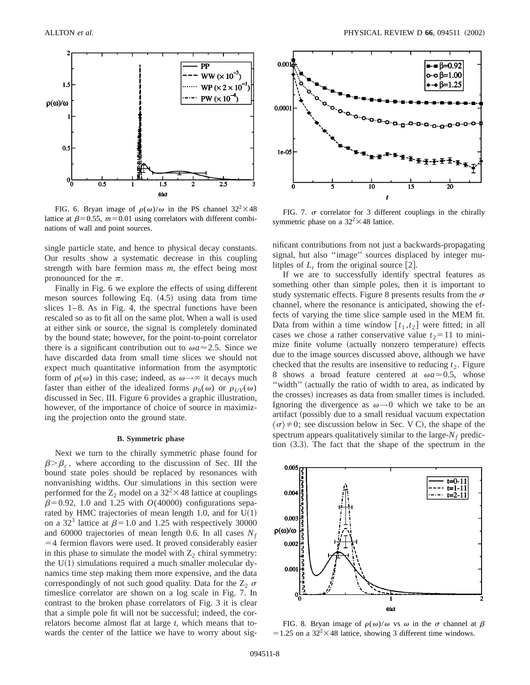

FIG. 6. Bryan image of  $\rho(\omega)/\omega$  in the PS channel 32<sup>2</sup>×48 lattice at  $\beta$ =0.55,  $m$ =0.01 using correlators with different combinations of wall and point sources.

single particle state, and hence to physical decay constants. Our results show a systematic decrease in this coupling strength with bare fermion mass *m*, the effect being most pronounced for the  $\pi$ .

Finally in Fig. 6 we explore the effects of using different meson sources following Eq.  $(4.5)$  using data from time slices  $1-8$ . As in Fig. 4, the spectral functions have been rescaled so as to fit all on the same plot. When a wall is used at either sink or source, the signal is completely dominated by the bound state; however, for the point-to-point correlator there is a significant contribution out to  $\omega a \approx 2.5$ . Since we have discarded data from small time slices we should not expect much quantitative information from the asymptotic form of  $\rho(\omega)$  in this case; indeed, as  $\omega \rightarrow \infty$  it decays much faster than either of the idealized forms  $\rho_0(\omega)$  or  $\rho_{UV}(\omega)$ discussed in Sec. III. Figure 6 provides a graphic illustration, however, of the importance of choice of source in maximizing the projection onto the ground state.

#### **B. Symmetric phase**

Next we turn to the chirally symmetric phase found for  $\beta > \beta_c$ , where according to the discussion of Sec. III the bound state poles should be replaced by resonances with nonvanishing widths. Our simulations in this section were performed for the  $Z_2$  model on a 32<sup>2</sup> $\times$ 48 lattice at couplings  $\beta$ =0.92, 1.0 and 1.25 with *O*(40000) configurations separated by HMC trajectories of mean length 1.0, and for  $U(1)$ on a 32<sup>3</sup> lattice at  $\beta$ =1.0 and 1.25 with respectively 30000 and 60000 trajectories of mean length 0.6. In all cases  $N_f$  $=$  4 fermion flavors were used. It proved considerably easier in this phase to simulate the model with  $Z_2$  chiral symmetry: the  $U(1)$  simulations required a much smaller molecular dynamics time step making them more expensive, and the data correspondingly of not such good quality. Data for the  $Z_2$   $\sigma$ timeslice correlator are shown on a log scale in Fig. 7. In contrast to the broken phase correlators of Fig. 3 it is clear that a simple pole fit will not be successful; indeed, the correlators become almost flat at large *t*, which means that towards the center of the lattice we have to worry about sig-



FIG. 7.  $\sigma$  correlator for 3 different couplings in the chirally symmetric phase on a  $32^2 \times 48$  lattice.

nificant contributions from not just a backwards-propagating signal, but also "image" sources displaced by integer mulitples of  $L_t$  from the original source [2].

If we are to successfully identify spectral features as something other than simple poles, then it is important to study systematic effects. Figure 8 presents results from the  $\sigma$ channel, where the resonance is anticipated, showing the effects of varying the time slice sample used in the MEM fit. Data from within a time window  $[t_1, t_2]$  were fitted; in all cases we chose a rather conservative value  $t_2$ =11 to minimize finite volume (actually nonzero temperature) effects due to the image sources discussed above, although we have checked that the results are insensitive to reducing  $t_2$ . Figure 8 shows a broad feature centered at  $\omega a \approx 0.5$ , whose "width" (actually the ratio of width to area, as indicated by the crosses) increases as data from smaller times is included. Ignoring the divergence as  $\omega \rightarrow 0$  which we take to be an artifact (possibly due to a small residual vacuum expectation  $\langle \sigma \rangle \neq 0$ ; see discussion below in Sec. V C), the shape of the spectrum appears qualitatively similar to the large- $N_f$  prediction  $(3.3)$ . The fact that the shape of the spectrum in the



FIG. 8. Bryan image of  $\rho(\omega)/\omega$  vs  $\omega$  in the  $\sigma$  channel at  $\beta$  $=1.25$  on a 32<sup>2</sup>×48 lattice, showing 3 different time windows.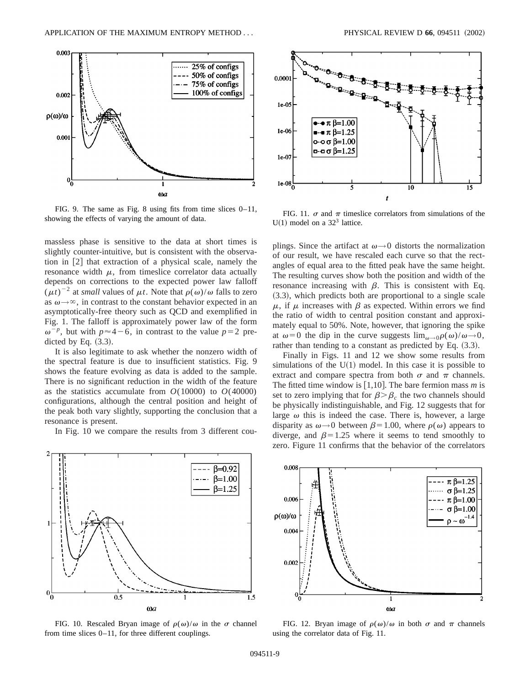

FIG. 9. The same as Fig. 8 using fits from time slices 0–11, showing the effects of varying the amount of data.

massless phase is sensitive to the data at short times is slightly counter-intuitive, but is consistent with the observation in  $[2]$  that extraction of a physical scale, namely the resonance width  $\mu$ , from timeslice correlator data actually depends on corrections to the expected power law falloff  $(\mu t)^{-2}$  at *small* values of  $\mu t$ . Note that  $\rho(\omega)/\omega$  falls to zero as  $\omega \rightarrow \infty$ , in contrast to the constant behavior expected in an asymptotically-free theory such as QCD and exemplified in Fig. 1. The falloff is approximately power law of the form  $\omega^{-p}$ , but with  $p \approx 4-6$ , in contrast to the value  $p=2$  predicted by Eq.  $(3.3)$ .

It is also legitimate to ask whether the nonzero width of the spectral feature is due to insufficient statistics. Fig. 9 shows the feature evolving as data is added to the sample. There is no significant reduction in the width of the feature as the statistics accumulate from  $O(10000)$  to  $O(40000)$ configurations, although the central position and height of the peak both vary slightly, supporting the conclusion that a resonance is present.

In Fig. 10 we compare the results from 3 different cou-



FIG. 11.  $\sigma$  and  $\pi$  timeslice correlators from simulations of the  $U(1)$  model on a 32<sup>3</sup> lattice.

plings. Since the artifact at  $\omega \rightarrow 0$  distorts the normalization of our result, we have rescaled each curve so that the rectangles of equal area to the fitted peak have the same height. The resulting curves show both the position and width of the resonance increasing with  $\beta$ . This is consistent with Eq.  $(3.3)$ , which predicts both are proportional to a single scale  $\mu$ , if  $\mu$  increases with  $\beta$  as expected. Within errors we find the ratio of width to central position constant and approximately equal to 50%. Note, however, that ignoring the spike at  $\omega=0$  the dip in the curve suggests  $\lim_{\omega\to 0} \rho(\omega)/\omega \to 0$ , rather than tending to a constant as predicted by Eq.  $(3.3)$ .

Finally in Figs. 11 and 12 we show some results from simulations of the  $U(1)$  model. In this case it is possible to extract and compare spectra from both  $\sigma$  and  $\pi$  channels. The fitted time window is  $[1,10]$ . The bare fermion mass *m* is set to zero implying that for  $\beta > \beta_c$  the two channels should be physically indistinguishable, and Fig. 12 suggests that for large  $\omega$  this is indeed the case. There is, however, a large disparity as  $\omega \rightarrow 0$  between  $\beta = 1.00$ , where  $\rho(\omega)$  appears to diverge, and  $\beta$ =1.25 where it seems to tend smoothly to zero. Figure 11 confirms that the behavior of the correlators



FIG. 10. Rescaled Bryan image of  $\rho(\omega)/\omega$  in the  $\sigma$  channel from time slices 0–11, for three different couplings.



FIG. 12. Bryan image of  $\rho(\omega)/\omega$  in both  $\sigma$  and  $\pi$  channels using the correlator data of Fig. 11.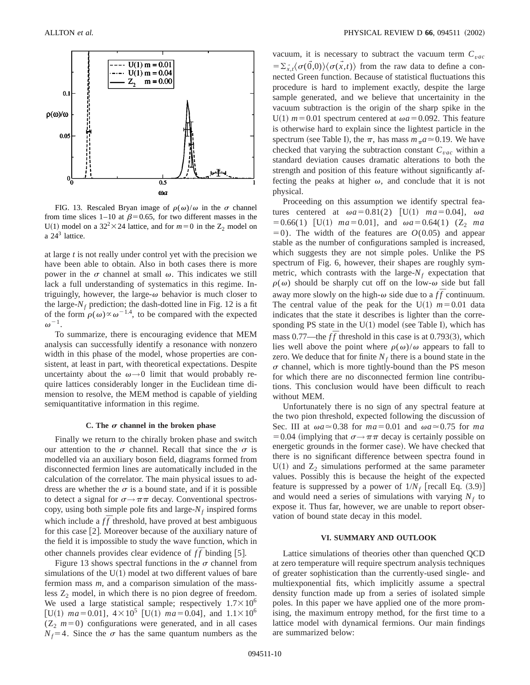

FIG. 13. Rescaled Bryan image of  $\rho(\omega)/\omega$  in the  $\sigma$  channel from time slices 1–10 at  $\beta$ =0.65, for two different masses in the U(1) model on a  $32^2 \times 24$  lattice, and for  $m=0$  in the Z<sub>2</sub> model on a  $24<sup>3</sup>$  lattice.

at large *t* is not really under control yet with the precision we have been able to obtain. Also in both cases there is more power in the  $\sigma$  channel at small  $\omega$ . This indicates we still lack a full understanding of systematics in this regime. Intriguingly, however, the large- $\omega$  behavior is much closer to the large- $N_f$  prediction; the dash-dotted line in Fig. 12 is a fit of the form  $\rho(\omega) \propto \omega^{-1.4}$ , to be compared with the expected  $\omega^{-1}$ .

To summarize, there is encouraging evidence that MEM analysis can successfully identify a resonance with nonzero width in this phase of the model, whose properties are consistent, at least in part, with theoretical expectations. Despite uncertainty about the  $\omega \rightarrow 0$  limit that would probably require lattices considerably longer in the Euclidean time dimension to resolve, the MEM method is capable of yielding semiquantitative information in this regime.

#### **C.** The  $\sigma$  channel in the broken phase

Finally we return to the chirally broken phase and switch our attention to the  $\sigma$  channel. Recall that since the  $\sigma$  is modelled via an auxiliary boson field, diagrams formed from disconnected fermion lines are automatically included in the calculation of the correlator. The main physical issues to address are whether the  $\sigma$  is a bound state, and if it is possible to detect a signal for  $\sigma \rightarrow \pi \pi$  decay. Conventional spectroscopy, using both simple pole fits and large- $N_f$  inspired forms which include a  $f\bar{f}$  threshold, have proved at best ambiguous for this case  $[2]$ . Moreover because of the auxiliary nature of the field it is impossible to study the wave function, which in other channels provides clear evidence of  $f\bar{f}$  binding [5].

Figure 13 shows spectral functions in the  $\sigma$  channel from simulations of the  $U(1)$  model at two different values of bare fermion mass *m*, and a comparison simulation of the massless  $Z_2$  model, in which there is no pion degree of freedom. We used a large statistical sample; respectively  $1.7 \times 10^6$ [U(1)  $ma = 0.01$ ],  $4 \times 10^5$  [U(1)  $ma = 0.04$ ], and  $1.1 \times 10^6$  $(Z_2 \text{ } m=0)$  configurations were generated, and in all cases  $N_f$ =4. Since the  $\sigma$  has the same quantum numbers as the vacuum, it is necessary to subtract the vacuum term  $C_{\text{vac}}$  $= \sum_{x,t}^{4} \langle \sigma(\vec{0},0) \rangle \langle \sigma(\vec{x},t) \rangle$  from the raw data to define a connected Green function. Because of statistical fluctuations this procedure is hard to implement exactly, despite the large sample generated, and we believe that uncertainity in the vacuum subtraction is the origin of the sharp spike in the U(1)  $m = 0.01$  spectrum centered at  $\omega a = 0.092$ . This feature is otherwise hard to explain since the lightest particle in the spectrum (see Table I), the  $\pi$ , has mass  $m_{\pi}a \approx 0.19$ . We have checked that varying the subtraction constant  $C_{vac}$  within a standard deviation causes dramatic alterations to both the strength and position of this feature without significantly affecting the peaks at higher  $\omega$ , and conclude that it is not physical.

Proceeding on this assumption we identify spectral features centered at  $\omega a = 0.81(2)$  [U(1)  $ma = 0.04$ ],  $\omega a$  $= 0.66(1)$  [U(1)  $ma = 0.01$ ], and  $\omega a = 0.64(1)$  (Z<sub>2</sub> *ma*)  $=0$ ). The width of the features are  $O(0.05)$  and appear stable as the number of configurations sampled is increased, which suggests they are not simple poles. Unlike the PS spectrum of Fig. 6, however, their shapes are roughly symmetric, which contrasts with the large- $N_f$  expectation that  $\rho(\omega)$  should be sharply cut off on the low- $\omega$  side but fall away more slowly on the high- $\omega$  side due to a  $f\bar{f}$  continuum. The central value of the peak for the U(1)  $m=0.01$  data indicates that the state it describes is lighter than the corresponding PS state in the  $U(1)$  model (see Table I), which has mass 0.77—the  $f\bar{f}$  threshold in this case is at 0.793(3), which lies well above the point where  $\rho(\omega)/\omega$  appears to fall to zero. We deduce that for finite  $N_f$  there is a bound state in the  $\sigma$  channel, which is more tightly-bound than the PS meson for which there are no disconnected fermion line contributions. This conclusion would have been difficult to reach without MEM.

Unfortunately there is no sign of any spectral feature at the two pion threshold, expected following the discussion of Sec. III at  $\omega a \approx 0.38$  for  $ma = 0.01$  and  $\omega a \approx 0.75$  for *ma* = 0.04 (implying that  $\sigma \rightarrow \pi \pi$  decay is certainly possible on energetic grounds in the former case). We have checked that there is no significant difference between spectra found in  $U(1)$  and  $Z_2$  simulations performed at the same parameter values. Possibly this is because the height of the expected feature is suppressed by a power of  $1/N_f$  [recall Eq.  $(3.9)$ ] and would need a series of simulations with varying  $N_f$  to expose it. Thus far, however, we are unable to report observation of bound state decay in this model.

# **VI. SUMMARY AND OUTLOOK**

Lattice simulations of theories other than quenched QCD at zero temperature will require spectrum analysis techniques of greater sophistication than the currently-used single- and multiexponential fits, which implicitly assume a spectral density function made up from a series of isolated simple poles. In this paper we have applied one of the more promising, the maximum entropy method, for the first time to a lattice model with dynamical fermions. Our main findings are summarized below: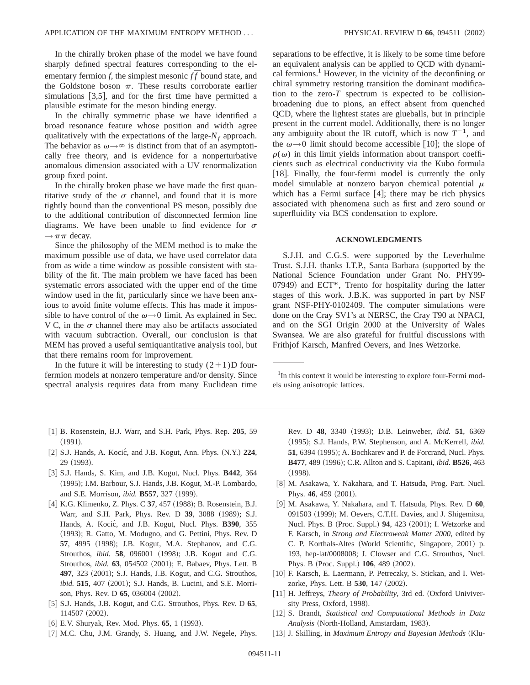In the chirally broken phase of the model we have found sharply defined spectral features corresponding to the elementary fermion *f*, the simplest mesonic  $f\bar{f}$  bound state, and the Goldstone boson  $\pi$ . These results corroborate earlier simulations  $[3,5]$ , and for the first time have permitted a plausible estimate for the meson binding energy.

In the chirally symmetric phase we have identified a broad resonance feature whose position and width agree qualitatively with the expectations of the large- $N_f$  approach. The behavior as  $\omega \rightarrow \infty$  is distinct from that of an asymptotically free theory, and is evidence for a nonperturbative anomalous dimension associated with a UV renormalization group fixed point.

In the chirally broken phase we have made the first quantitative study of the  $\sigma$  channel, and found that it is more tightly bound than the conventional PS meson, possibly due to the additional contribution of disconnected fermion line diagrams. We have been unable to find evidence for  $\sigma$  $\rightarrow \pi \pi$  decay.

Since the philosophy of the MEM method is to make the maximum possible use of data, we have used correlator data from as wide a time window as possible consistent with stability of the fit. The main problem we have faced has been systematic errors associated with the upper end of the time window used in the fit, particularly since we have been anxious to avoid finite volume effects. This has made it impossible to have control of the  $\omega \rightarrow 0$  limit. As explained in Sec. V C, in the  $\sigma$  channel there may also be artifacts associated with vacuum subtraction. Overall, our conclusion is that MEM has proved a useful semiquantitative analysis tool, but that there remains room for improvement.

In the future it will be interesting to study  $(2+1)D$  fourfermion models at nonzero temperature and/or density. Since spectral analysis requires data from many Euclidean time separations to be effective, it is likely to be some time before an equivalent analysis can be applied to QCD with dynamical fermions.<sup>1</sup> However, in the vicinity of the deconfining or chiral symmetry restoring transition the dominant modification to the zero-*T* spectrum is expected to be collisionbroadening due to pions, an effect absent from quenched QCD, where the lightest states are glueballs, but in principle present in the current model. Additionally, there is no longer any ambiguity about the IR cutoff, which is now  $T^{-1}$ , and the  $\omega \rightarrow 0$  limit should become accessible [10]; the slope of  $\rho(\omega)$  in this limit yields information about transport coefficients such as electrical conductivity via the Kubo formula [18]. Finally, the four-fermi model is currently the only model simulable at nonzero baryon chemical potential  $\mu$ which has a Fermi surface  $[4]$ ; there may be rich physics associated with phenomena such as first and zero sound or superfluidity via BCS condensation to explore.

### **ACKNOWLEDGMENTS**

S.J.H. and C.G.S. were supported by the Leverhulme Trust. S.J.H. thanks I.T.P., Santa Barbara (supported by the National Science Foundation under Grant No. PHY99-  $07949$  and ECT\*, Trento for hospitality during the latter stages of this work. J.B.K. was supported in part by NSF grant NSF-PHY-0102409. The computer simulations were done on the Cray SV1's at NERSC, the Cray T90 at NPACI, and on the SGI Origin 2000 at the University of Wales Swansea. We are also grateful for fruitful discussions with Frithjof Karsch, Manfred Oevers, and Ines Wetzorke.

<sup>1</sup>In this context it would be interesting to explore four-Fermi models using anisotropic lattices.

- [1] B. Rosenstein, B.J. Warr, and S.H. Park, Phys. Rep. 205, 59  $(1991).$
- [2] S.J. Hands, A. Kocić, and J.B. Kogut, Ann. Phys. (N.Y.) 224, 29 (1993).
- @3# S.J. Hands, S. Kim, and J.B. Kogut, Nucl. Phys. **B442**, 364 (1995); I.M. Barbour, S.J. Hands, J.B. Kogut, M.-P. Lombardo, and S.E. Morrison, *ibid.* **B557**, 327 (1999).
- [4] K.G. Klimenko, Z. Phys. C 37, 457 (1988); B. Rosenstein, B.J. Warr, and S.H. Park, Phys. Rev. D 39, 3088 (1989); S.J. Hands, A. Kocić, and J.B. Kogut, Nucl. Phys. **B390**, 355 (1993); R. Gatto, M. Modugno, and G. Pettini, Phys. Rev. D. **57**, 4995 (1998); J.B. Kogut, M.A. Stephanov, and C.G. Strouthos, *ibid.* **58**, 096001 (1998); J.B. Kogut and C.G. Strouthos, *ibid.* **63**, 054502 (2001); E. Babaev, Phys. Lett. B 497, 323 (2001); S.J. Hands, J.B. Kogut, and C.G. Strouthos, *ibid.* **515**, 407 (2001); S.J. Hands, B. Lucini, and S.E. Morrison, Phys. Rev. D 65, 036004 (2002).
- [5] S.J. Hands, J.B. Kogut, and C.G. Strouthos, Phys. Rev. D 65, 114507 (2002).
- [6] E.V. Shuryak, Rev. Mod. Phys. **65**, 1 (1993).
- [7] M.C. Chu, J.M. Grandy, S. Huang, and J.W. Negele, Phys.

Rev. D 48, 3340 (1993); D.B. Leinweber, *ibid.* 51, 6369 ~1995!; S.J. Hands, P.W. Stephenson, and A. McKerrell, *ibid.* **51**, 6394 (1995); A. Bochkarev and P. de Forcrand, Nucl. Phys. **B477**, 489 (1996); C.R. Allton and S. Capitani, *ibid.* **B526**, 463  $(1998).$ 

- [8] M. Asakawa, Y. Nakahara, and T. Hatsuda, Prog. Part. Nucl. Phys. 46, 459 (2001).
- @9# M. Asakawa, Y. Nakahara, and T. Hatsuda, Phys. Rev. D **60**, 091503 (1999); M. Oevers, C.T.H. Davies, and J. Shigemitsu, Nucl. Phys. B (Proc. Suppl.) 94, 423 (2001); I. Wetzorke and F. Karsch, in *Strong and Electroweak Matter 2000*, edited by C. P. Korthals-Altes (World Scientific, Singapore, 2001) p. 193, hep-lat/0008008; J. Clowser and C.G. Strouthos, Nucl. Phys. B (Proc. Suppl.) **106**, 489 (2002).
- [10] F. Karsch, E. Laermann, P. Petreczky, S. Stickan, and I. Wetzorke, Phys. Lett. B 530, 147 (2002).
- [11] H. Jeffreys, *Theory of Probability*, 3rd ed. (Oxford Univiversity Press, Oxford, 1998).
- [12] S. Brandt, *Statistical and Computational Methods in Data Analysis* (North-Holland, Amstardam, 1983).
- [13] J. Skilling, in *Maximum Entropy and Bayesian Methods* (Klu-